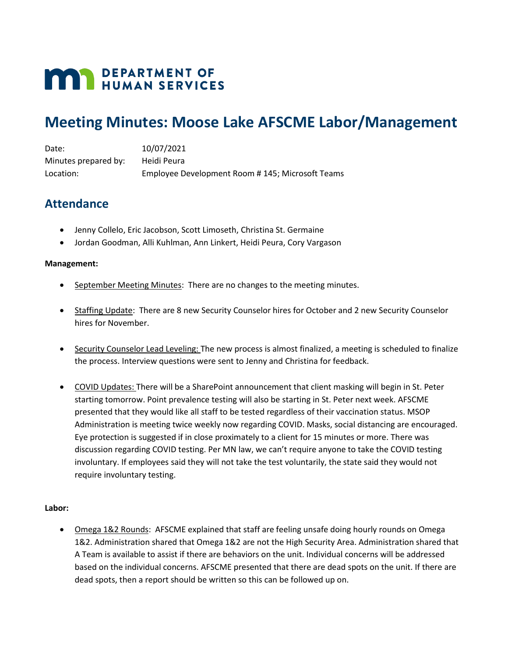# **MAN DEPARTMENT OF HUMAN SERVICES**

## **Meeting Minutes: Moose Lake AFSCME Labor/Management**

Date: 10/07/2021 Minutes prepared by: Heidi Peura Location: Employee Development Room # 145; Microsoft Teams

## **Attendance**

- Jenny Collelo, Eric Jacobson, Scott Limoseth, Christina St. Germaine
- Jordan Goodman, Alli Kuhlman, Ann Linkert, Heidi Peura, Cory Vargason

#### **Management:**

- September Meeting Minutes: There are no changes to the meeting minutes.
- Staffing Update: There are 8 new Security Counselor hires for October and 2 new Security Counselor hires for November.
- Security Counselor Lead Leveling: The new process is almost finalized, a meeting is scheduled to finalize the process. Interview questions were sent to Jenny and Christina for feedback.
- COVID Updates: There will be a SharePoint announcement that client masking will begin in St. Peter starting tomorrow. Point prevalence testing will also be starting in St. Peter next week. AFSCME presented that they would like all staff to be tested regardless of their vaccination status. MSOP Administration is meeting twice weekly now regarding COVID. Masks, social distancing are encouraged. Eye protection is suggested if in close proximately to a client for 15 minutes or more. There was discussion regarding COVID testing. Per MN law, we can't require anyone to take the COVID testing involuntary. If employees said they will not take the test voluntarily, the state said they would not require involuntary testing.

### **Labor:**

• Omega 1&2 Rounds: AFSCME explained that staff are feeling unsafe doing hourly rounds on Omega 1&2. Administration shared that Omega 1&2 are not the High Security Area. Administration shared that A Team is available to assist if there are behaviors on the unit. Individual concerns will be addressed based on the individual concerns. AFSCME presented that there are dead spots on the unit. If there are dead spots, then a report should be written so this can be followed up on.